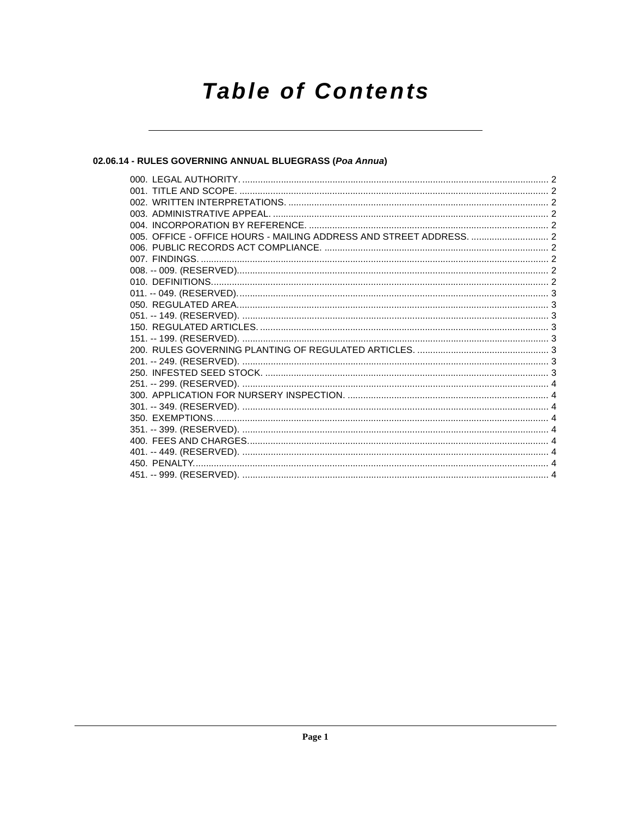# **Table of Contents**

# 02.06.14 - RULES GOVERNING ANNUAL BLUEGRASS (Poa Annua)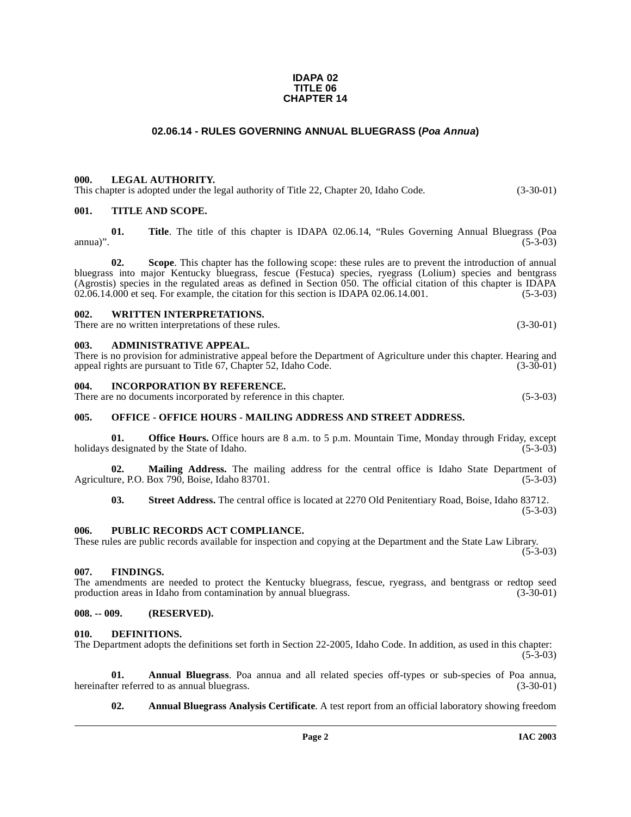#### **IDAPA 02 TITLE 06 CHAPTER 14**

### **02.06.14 - RULES GOVERNING ANNUAL BLUEGRASS (Poa Annua)**

#### <span id="page-1-1"></span><span id="page-1-0"></span>**000. LEGAL AUTHORITY.**

This chapter is adopted under the legal authority of Title 22, Chapter 20, Idaho Code. (3-30-01)

#### <span id="page-1-2"></span>**001. TITLE AND SCOPE.**

**01. Title**. The title of this chapter is IDAPA 02.06.14, "Rules Governing Annual Bluegrass (Poa  $(5-3-03)$  (5-3-03)

**02. Scope**. This chapter has the following scope: these rules are to prevent the introduction of annual bluegrass into major Kentucky bluegrass, fescue (Festuca) species, ryegrass (Lolium) species and bentgrass (Agrostis) species in the regulated areas as defined in Section 050. The official citation of this chapter is IDAPA 02.06.14.000 et seq. For example, the citation for this section is IDAPA 02.06.14.001.  $(5-3-03)$  $02.06.14.000$  et seq. For example, the citation for this section is IDAPA  $02.06.14.001$ .

#### <span id="page-1-3"></span>**002. WRITTEN INTERPRETATIONS.**

There are no written interpretations of these rules. (3-30-01)

#### <span id="page-1-4"></span>**003. ADMINISTRATIVE APPEAL.**

There is no provision for administrative appeal before the Department of Agriculture under this chapter. Hearing and appeal rights are pursuant to Title 67, Chapter 52, Idaho Code. (3-30-01) appeal rights are pursuant to Title 67, Chapter 52, Idaho Code.

#### <span id="page-1-5"></span>**004. INCORPORATION BY REFERENCE.**

There are no documents incorporated by reference in this chapter. (5-3-03)

#### <span id="page-1-6"></span>**005. OFFICE - OFFICE HOURS - MAILING ADDRESS AND STREET ADDRESS.**

**01. Office Hours.** Office hours are 8 a.m. to 5 p.m. Mountain Time, Monday through Friday, except designated by the State of Idaho. (5-3-03) holidays designated by the State of Idaho.

**02.** Mailing Address. The mailing address for the central office is Idaho State Department of are P.O. Box 790. Boise. Idaho 83701. Agriculture, P.O. Box 790, Boise, Idaho 83701.

**03. Street Address.** The central office is located at 2270 Old Penitentiary Road, Boise, Idaho 83712. (5-3-03)

#### <span id="page-1-7"></span>**006. PUBLIC RECORDS ACT COMPLIANCE.**

These rules are public records available for inspection and copying at the Department and the State Law Library.  $(5-3-03)$ 

# <span id="page-1-8"></span>**007. FINDINGS.**

The amendments are needed to protect the Kentucky bluegrass, fescue, ryegrass, and bentgrass or redtop seed production areas in Idaho from contamination by annual bluegrass. (3-30-01)

#### <span id="page-1-9"></span>**008. -- 009. (RESERVED).**

#### <span id="page-1-13"></span><span id="page-1-10"></span>**010. DEFINITIONS.**

The Department adopts the definitions set forth in Section 22-2005, Idaho Code. In addition, as used in this chapter:  $(5-3-03)$ 

**01. Annual Bluegrass**. Poa annua and all related species off-types or sub-species of Poa annua, hereinafter referred to as annual bluegrass.

<span id="page-1-12"></span><span id="page-1-11"></span>**02. Annual Bluegrass Analysis Certificate**. A test report from an official laboratory showing freedom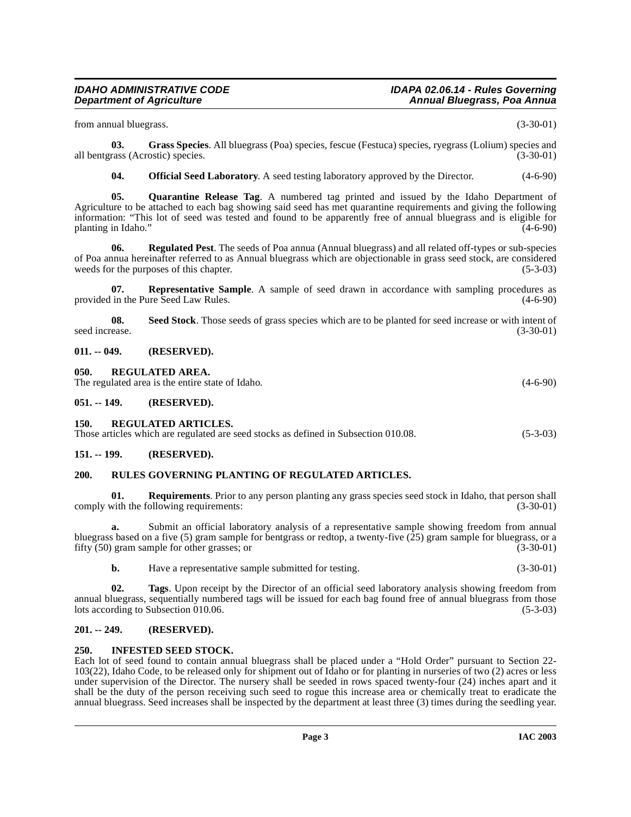from annual bluegrass. (3-30-01)

**03.** Grass Species. All bluegrass (Poa) species, fescue (Festuca) species, ryegrass (Lolium) species and rass (Acrostic) species. all bentgrass (Acrostic) species.

<span id="page-2-12"></span><span id="page-2-11"></span><span id="page-2-10"></span><span id="page-2-8"></span>**04. Official Seed Laboratory**. A seed testing laboratory approved by the Director. (4-6-90)

**05. Quarantine Release Tag**. A numbered tag printed and issued by the Idaho Department of Agriculture to be attached to each bag showing said seed has met quarantine requirements and giving the following information: "This lot of seed was tested and found to be apparently free of annual bluegrass and is eligible for planting in Idaho." (4-6-90)

**06. Regulated Pest**. The seeds of Poa annua (Annual bluegrass) and all related off-types or sub-species of Poa annua hereinafter referred to as Annual bluegrass which are objectionable in grass seed stock, are considered weeds for the purposes of this chapter. (5-3-03)

<span id="page-2-13"></span>**07. Representative Sample**. A sample of seed drawn in accordance with sampling procedures as in the Pure Seed Law Rules. (4-6-90) provided in the Pure Seed Law Rules.

<span id="page-2-15"></span>**08. Seed Stock**. Those seeds of grass species which are to be planted for seed increase or with intent of seed increase. (3-30-01)

#### <span id="page-2-0"></span>**011. -- 049. (RESERVED).**

<span id="page-2-1"></span>**050. REGULATED AREA.**

The regulated area is the entire state of Idaho. (4-6-90)

<span id="page-2-2"></span>**051. -- 149. (RESERVED).**

#### <span id="page-2-3"></span>**150. REGULATED ARTICLES.**

Those articles which are regulated are seed stocks as defined in Subsection 010.08. (5-3-03)

#### <span id="page-2-4"></span>**151. -- 199. (RESERVED).**

#### <span id="page-2-14"></span><span id="page-2-5"></span>**200. RULES GOVERNING PLANTING OF REGULATED ARTICLES.**

**Requirements**. Prior to any person planting any grass species seed stock in Idaho, that person shall ollowing requirements: (3-30-01) comply with the following requirements:

**a.** Submit an official laboratory analysis of a representative sample showing freedom from annual bluegrass based on a five (5) gram sample for bentgrass or redtop, a twenty-five (25) gram sample for bluegrass, or a fifty  $(50)$  gram sample for other grasses; or

<span id="page-2-16"></span>**b.** Have a representative sample submitted for testing. (3-30-01)

**02. Tags**. Upon receipt by the Director of an official seed laboratory analysis showing freedom from annual bluegrass, sequentially numbered tags will be issued for each bag found free of annual bluegrass from those lots according to Subsection 010.06. (5-3-03)

### <span id="page-2-6"></span>**201. -- 249. (RESERVED).**

#### <span id="page-2-9"></span><span id="page-2-7"></span>**250. INFESTED SEED STOCK.**

Each lot of seed found to contain annual bluegrass shall be placed under a "Hold Order" pursuant to Section 22- 103(22), Idaho Code, to be released only for shipment out of Idaho or for planting in nurseries of two (2) acres or less under supervision of the Director. The nursery shall be seeded in rows spaced twenty-four (24) inches apart and it shall be the duty of the person receiving such seed to rogue this increase area or chemically treat to eradicate the annual bluegrass. Seed increases shall be inspected by the department at least three (3) times during the seedling year.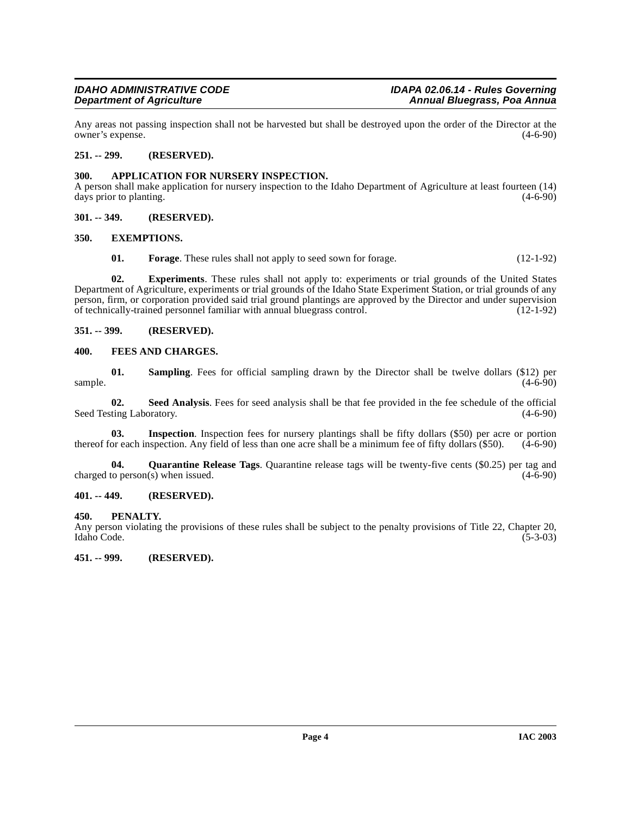Any areas not passing inspection shall not be harvested but shall be destroyed upon the order of the Director at the owner's expense. (4-6-90)

#### <span id="page-3-0"></span>**251. -- 299. (RESERVED).**

#### <span id="page-3-9"></span><span id="page-3-1"></span>**300. APPLICATION FOR NURSERY INSPECTION.**

A person shall make application for nursery inspection to the Idaho Department of Agriculture at least fourteen (14) days prior to planting.

#### <span id="page-3-2"></span>**301. -- 349. (RESERVED).**

#### <span id="page-3-3"></span>**350. EXEMPTIONS.**

<span id="page-3-12"></span><span id="page-3-10"></span>**01. Forage**. These rules shall not apply to seed sown for forage. (12-1-92)

**02. Experiments**. These rules shall not apply to: experiments or trial grounds of the United States Department of Agriculture, experiments or trial grounds of the Idaho State Experiment Station, or trial grounds of any person, firm, or corporation provided said trial ground plantings are approved by the Director and under supervision of technically-trained personnel familiar with annual bluegrass control. (12-1-92)

#### <span id="page-3-4"></span>**351. -- 399. (RESERVED).**

#### <span id="page-3-11"></span><span id="page-3-5"></span>**400. FEES AND CHARGES.**

**01. Sampling**. Fees for official sampling drawn by the Director shall be twelve dollars (\$12) per  $\epsilon$  sample. (4-6-90)

**02.** Seed Analysis. Fees for seed analysis shall be that fee provided in the fee schedule of the official ting Laboratory. (4-6-90) Seed Testing Laboratory.

**03.** Inspection. Inspection fees for nursery plantings shall be fifty dollars (\$50) per acre or portion or each inspection. Any field of less than one acre shall be a minimum fee of fifty dollars (\$50). (4-6-90) thereof for each inspection. Any field of less than one acre shall be a minimum fee of fifty dollars  $(\$50)$ .

<span id="page-3-14"></span>**04. Quarantine Release Tags**. Quarantine release tags will be twenty-five cents (\$0.25) per tag and charged to person(s) when issued. (4-6-90)

#### <span id="page-3-6"></span>**401. -- 449. (RESERVED).**

#### <span id="page-3-13"></span><span id="page-3-7"></span>**450. PENALTY.**

Any person violating the provisions of these rules shall be subject to the penalty provisions of Title 22, Chapter 20, Idaho Code. (5-3-03) Idaho Code. (5-3-03)

<span id="page-3-8"></span>**451. -- 999. (RESERVED).**